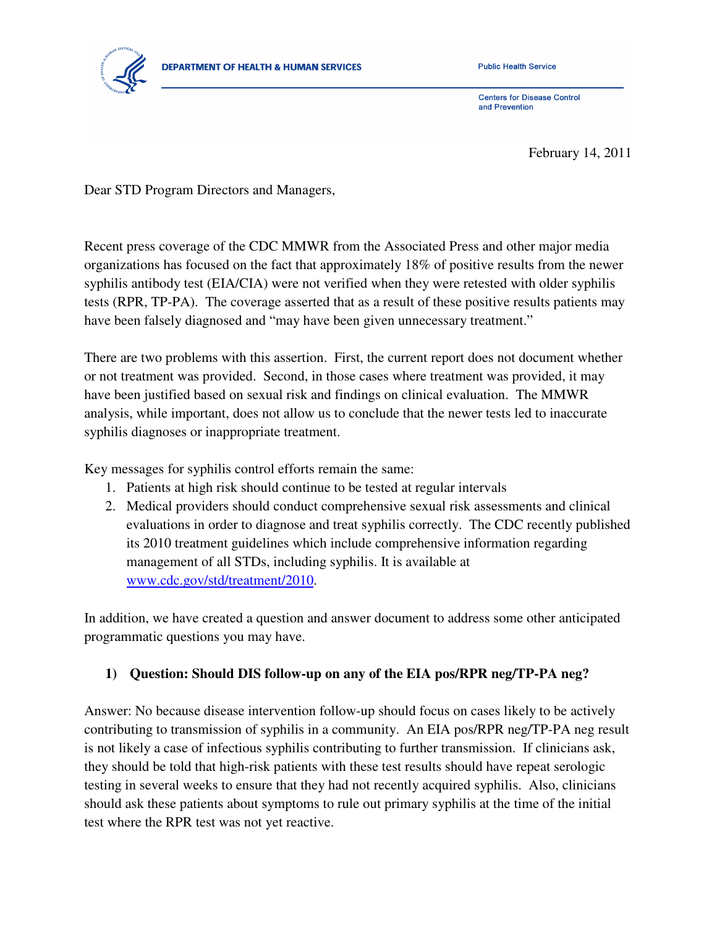

**Public Health Service** 

**Centers for Disease Control** and Prevention

February 14, 2011

Dear STD Program Directors and Managers,

Recent press coverage of the CDC MMWR from the Associated Press and other major media organizations has focused on the fact that approximately 18% of positive results from the newer syphilis antibody test (EIA/CIA) were not verified when they were retested with older syphilis tests (RPR, TP-PA). The coverage asserted that as a result of these positive results patients may have been falsely diagnosed and "may have been given unnecessary treatment."

There are two problems with this assertion. First, the current report does not document whether or not treatment was provided. Second, in those cases where treatment was provided, it may have been justified based on sexual risk and findings on clinical evaluation. The MMWR analysis, while important, does not allow us to conclude that the newer tests led to inaccurate syphilis diagnoses or inappropriate treatment.

Key messages for syphilis control efforts remain the same:

- 1. Patients at high risk should continue to be tested at regular intervals
- 2. Medical providers should conduct comprehensive sexual risk assessments and clinical evaluations in order to diagnose and treat syphilis correctly. The CDC recently published its 2010 treatment guidelines which include comprehensive information regarding management of all STDs, including syphilis. It is available at www.cdc.gov/std/treatment/2010.

In addition, we have created a question and answer document to address some other anticipated programmatic questions you may have.

## **1) Question: Should DIS follow-up on any of the EIA pos/RPR neg/TP-PA neg?**

Answer: No because disease intervention follow-up should focus on cases likely to be actively contributing to transmission of syphilis in a community. An EIA pos/RPR neg/TP-PA neg result is not likely a case of infectious syphilis contributing to further transmission. If clinicians ask, they should be told that high-risk patients with these test results should have repeat serologic testing in several weeks to ensure that they had not recently acquired syphilis. Also, clinicians should ask these patients about symptoms to rule out primary syphilis at the time of the initial test where the RPR test was not yet reactive.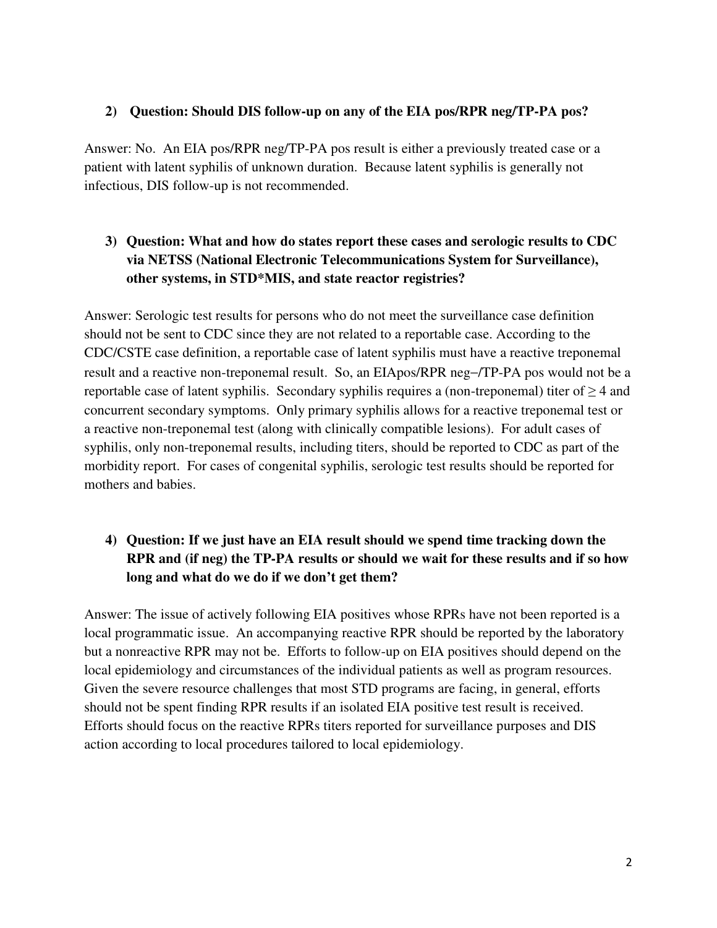## **2) Question: Should DIS follow-up on any of the EIA pos/RPR neg/TP-PA pos?**

Answer: No. An EIA pos/RPR neg/TP-PA pos result is either a previously treated case or a patient with latent syphilis of unknown duration. Because latent syphilis is generally not infectious, DIS follow-up is not recommended.

## **3) Question: What and how do states report these cases and serologic results to CDC via NETSS (National Electronic Telecommunications System for Surveillance), other systems, in STD\*MIS, and state reactor registries?**

Answer: Serologic test results for persons who do not meet the surveillance case definition should not be sent to CDC since they are not related to a reportable case. According to the CDC/CSTE case definition, a reportable case of latent syphilis must have a reactive treponemal result and a reactive non-treponemal result. So, an EIApos/RPR neg−/TP-PA pos would not be a reportable case of latent syphilis. Secondary syphilis requires a (non-treponemal) titer of  $\geq$  4 and concurrent secondary symptoms. Only primary syphilis allows for a reactive treponemal test or a reactive non-treponemal test (along with clinically compatible lesions). For adult cases of syphilis, only non-treponemal results, including titers, should be reported to CDC as part of the morbidity report. For cases of congenital syphilis, serologic test results should be reported for mothers and babies.

## **4) Question: If we just have an EIA result should we spend time tracking down the RPR and (if neg) the TP-PA results or should we wait for these results and if so how long and what do we do if we don't get them?**

Answer: The issue of actively following EIA positives whose RPRs have not been reported is a local programmatic issue. An accompanying reactive RPR should be reported by the laboratory but a nonreactive RPR may not be. Efforts to follow-up on EIA positives should depend on the local epidemiology and circumstances of the individual patients as well as program resources. Given the severe resource challenges that most STD programs are facing, in general, efforts should not be spent finding RPR results if an isolated EIA positive test result is received. Efforts should focus on the reactive RPRs titers reported for surveillance purposes and DIS action according to local procedures tailored to local epidemiology.